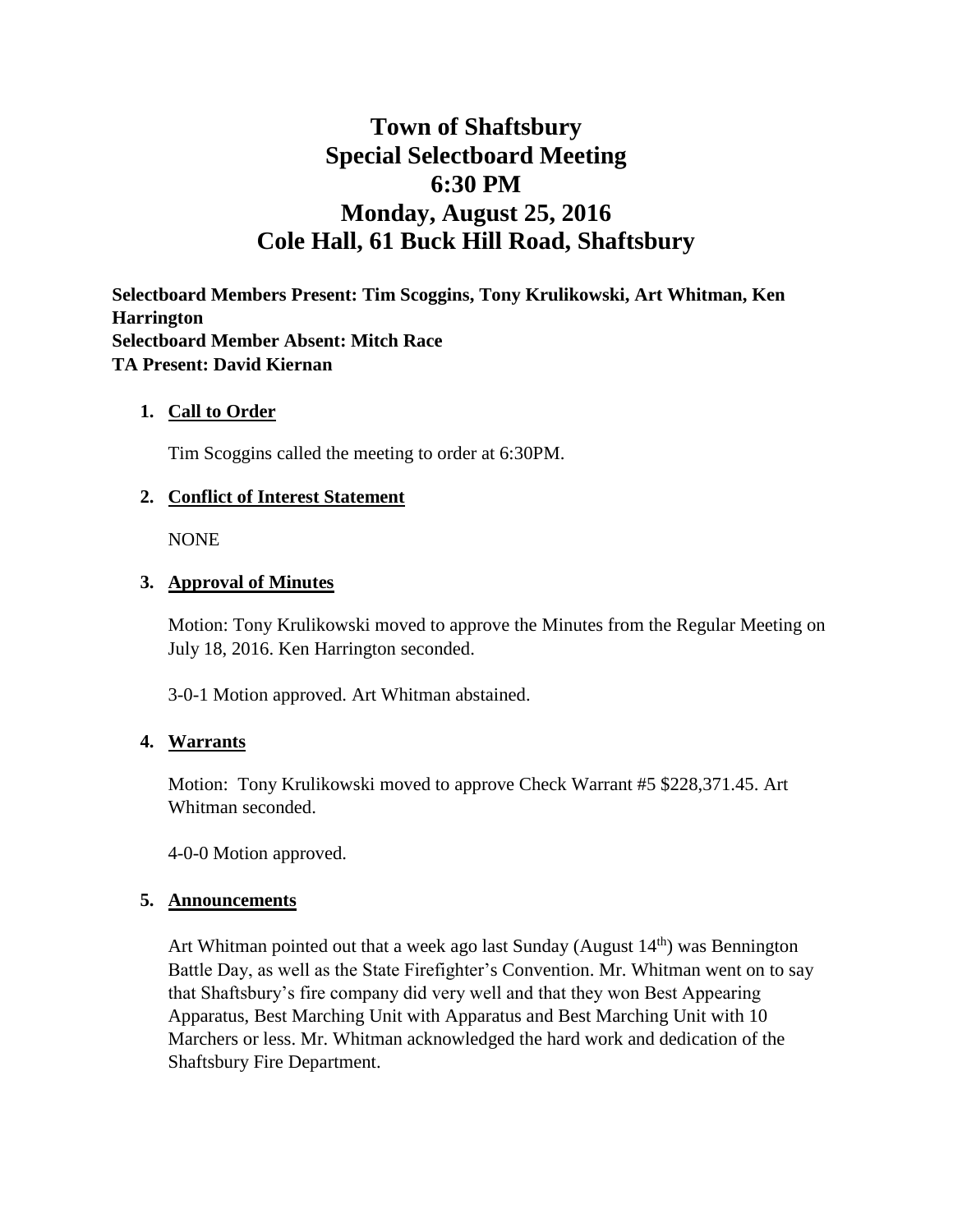# **Town of Shaftsbury Special Selectboard Meeting 6:30 PM Monday, August 25, 2016 Cole Hall, 61 Buck Hill Road, Shaftsbury**

**Selectboard Members Present: Tim Scoggins, Tony Krulikowski, Art Whitman, Ken Harrington Selectboard Member Absent: Mitch Race TA Present: David Kiernan**

## **1. Call to Order**

Tim Scoggins called the meeting to order at 6:30PM.

## **2. Conflict of Interest Statement**

NONE

#### **3. Approval of Minutes**

Motion: Tony Krulikowski moved to approve the Minutes from the Regular Meeting on July 18, 2016. Ken Harrington seconded.

3-0-1 Motion approved. Art Whitman abstained.

#### **4. Warrants**

Motion: Tony Krulikowski moved to approve Check Warrant #5 \$228,371.45. Art Whitman seconded.

4-0-0 Motion approved.

#### **5. Announcements**

Art Whitman pointed out that a week ago last Sunday (August  $14<sup>th</sup>$ ) was Bennington Battle Day, as well as the State Firefighter's Convention. Mr. Whitman went on to say that Shaftsbury's fire company did very well and that they won Best Appearing Apparatus, Best Marching Unit with Apparatus and Best Marching Unit with 10 Marchers or less. Mr. Whitman acknowledged the hard work and dedication of the Shaftsbury Fire Department.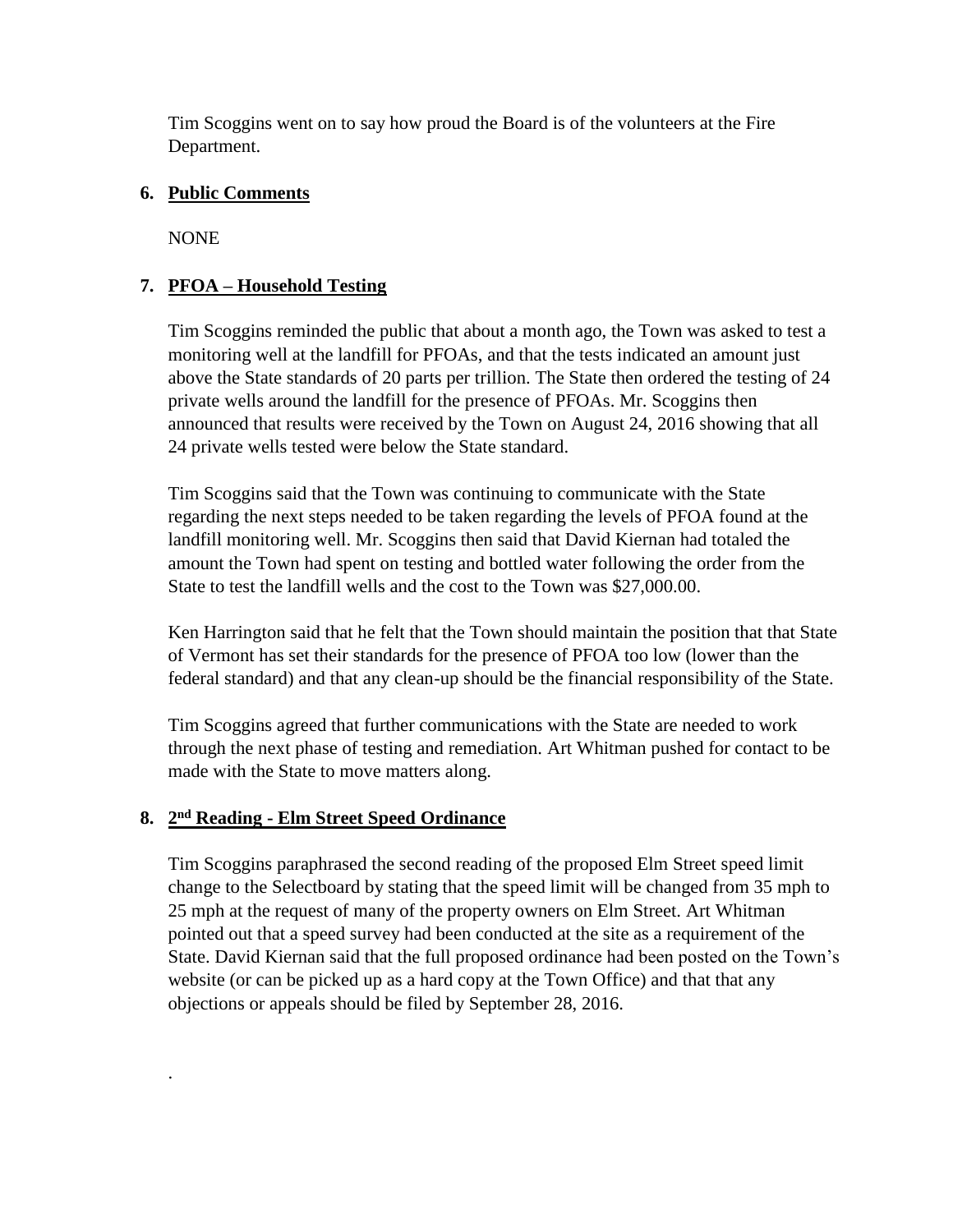Tim Scoggins went on to say how proud the Board is of the volunteers at the Fire Department.

# **6. Public Comments**

NONE

.

# **7. PFOA – Household Testing**

Tim Scoggins reminded the public that about a month ago, the Town was asked to test a monitoring well at the landfill for PFOAs, and that the tests indicated an amount just above the State standards of 20 parts per trillion. The State then ordered the testing of 24 private wells around the landfill for the presence of PFOAs. Mr. Scoggins then announced that results were received by the Town on August 24, 2016 showing that all 24 private wells tested were below the State standard.

Tim Scoggins said that the Town was continuing to communicate with the State regarding the next steps needed to be taken regarding the levels of PFOA found at the landfill monitoring well. Mr. Scoggins then said that David Kiernan had totaled the amount the Town had spent on testing and bottled water following the order from the State to test the landfill wells and the cost to the Town was \$27,000.00.

Ken Harrington said that he felt that the Town should maintain the position that that State of Vermont has set their standards for the presence of PFOA too low (lower than the federal standard) and that any clean-up should be the financial responsibility of the State.

Tim Scoggins agreed that further communications with the State are needed to work through the next phase of testing and remediation. Art Whitman pushed for contact to be made with the State to move matters along.

# **8. 2 nd Reading - Elm Street Speed Ordinance**

Tim Scoggins paraphrased the second reading of the proposed Elm Street speed limit change to the Selectboard by stating that the speed limit will be changed from 35 mph to 25 mph at the request of many of the property owners on Elm Street. Art Whitman pointed out that a speed survey had been conducted at the site as a requirement of the State. David Kiernan said that the full proposed ordinance had been posted on the Town's website (or can be picked up as a hard copy at the Town Office) and that that any objections or appeals should be filed by September 28, 2016.